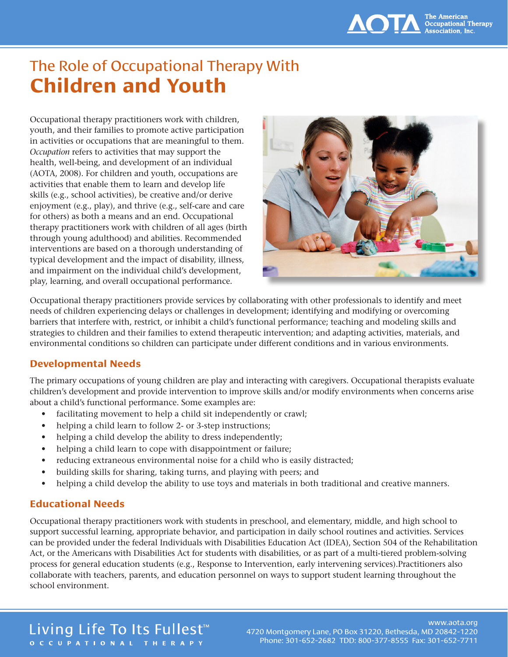# The Role of Occupational Therapy With **Children and Youth**

Occupational therapy practitioners work with children, youth, and their families to promote active participation in activities or occupations that are meaningful to them. *Occupation* refers to activities that may support the health, well-being, and development of an individual (AOTA, 2008). For children and youth, occupations are activities that enable them to learn and develop life skills (e.g., school activities), be creative and/or derive enjoyment (e.g., play), and thrive (e.g., self-care and care for others) as both a means and an end. Occupational therapy practitioners work with children of all ages (birth through young adulthood) and abilities. Recommended interventions are based on a thorough understanding of typical development and the impact of disability, illness, and impairment on the individual child's development, play, learning, and overall occupational performance.



Occupational therapy practitioners provide services by collaborating with other professionals to identify and meet needs of children experiencing delays or challenges in development; identifying and modifying or overcoming barriers that interfere with, restrict, or inhibit a child's functional performance; teaching and modeling skills and strategies to children and their families to extend therapeutic intervention; and adapting activities, materials, and environmental conditions so children can participate under different conditions and in various environments.

## **Developmental Needs**

The primary occupations of young children are play and interacting with caregivers. Occupational therapists evaluate children's development and provide intervention to improve skills and/or modify environments when concerns arise about a child's functional performance. Some examples are:

- facilitating movement to help a child sit independently or crawl;
- helping a child learn to follow 2- or 3-step instructions;
- helping a child develop the ability to dress independently;
- helping a child learn to cope with disappointment or failure;
- reducing extraneous environmental noise for a child who is easily distracted;
- building skills for sharing, taking turns, and playing with peers; and
- helping a child develop the ability to use toys and materials in both traditional and creative manners.

# **Educational Needs**

Occupational therapy practitioners work with students in preschool, and elementary, middle, and high school to support successful learning, appropriate behavior, and participation in daily school routines and activities. Services can be provided under the federal Individuals with Disabilities Education Act (IDEA), Section 504 of the Rehabilitation Act, or the Americans with Disabilities Act for students with disabilities, or as part of a multi-tiered problem-solving process for general education students (e.g., Response to Intervention, early intervening services).Practitioners also collaborate with teachers, parents, and education personnel on ways to support student learning throughout the school environment.

# Living Life To Its Fullest<sup>™</sup> OCCUPATIONAL THERAPY